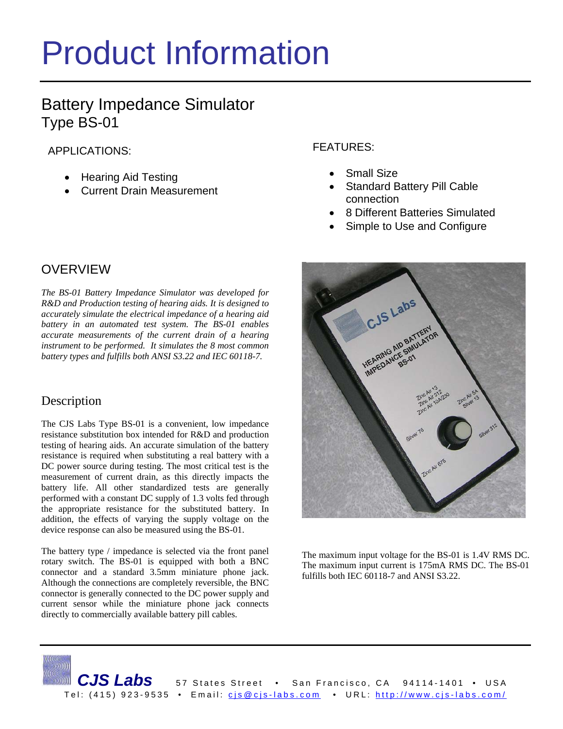# Product Information

# Battery Impedance Simulator Type BS-01

APPLICATIONS:

- Hearing Aid Testing
- Current Drain Measurement

# OVERVIEW

*The BS-01 Battery Impedance Simulator was developed for R&D and Production testing of hearing aids. It is designed to accurately simulate the electrical impedance of a hearing aid battery in an automated test system. The BS-01 enables accurate measurements of the current drain of a hearing instrument to be performed. It simulates the 8 most common battery types and fulfills both ANSI S3.22 and IEC 60118-7.* 

## Description

The CJS Labs Type BS-01 is a convenient, low impedance resistance substitution box intended for R&D and production testing of hearing aids. An accurate simulation of the battery resistance is required when substituting a real battery with a DC power source during testing. The most critical test is the measurement of current drain, as this directly impacts the battery life. All other standardized tests are generally performed with a constant DC supply of 1.3 volts fed through the appropriate resistance for the substituted battery. In addition, the effects of varying the supply voltage on the device response can also be measured using the BS-01.

The battery type / impedance is selected via the front panel rotary switch. The BS-01 is equipped with both a BNC connector and a standard 3.5mm miniature phone jack. Although the connections are completely reversible, the BNC connector is generally connected to the DC power supply and current sensor while the miniature phone jack connects directly to commercially available battery pill cables.

FEATURES:

- Small Size
- **Standard Battery Pill Cable** connection
- 8 Different Batteries Simulated
- Simple to Use and Configure



The maximum input voltage for the BS-01 is 1.4V RMS DC. The maximum input current is 175mA RMS DC. The BS-01 fulfills both IEC 60118-7 and ANSI S3.22.

CJS Labs 57 States Street • San Francisco, CA 94114-1401 • USA Tel: (415) 923-9535 • Email: cis@cjs-labs.com • URL: http://www.cjs-labs.com/